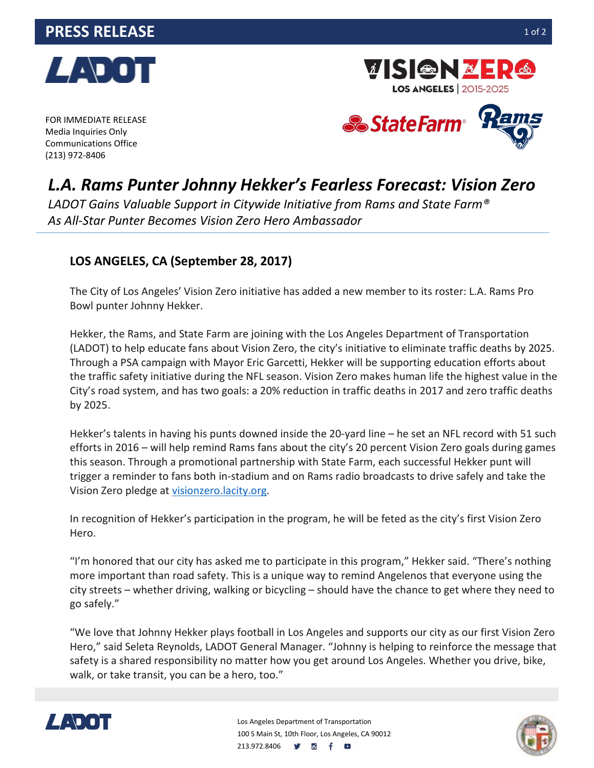

FOR IMMEDIATE RELEASE Media Inquiries Only Communications Office (213) 972-8406



**LOS ANGELES** | 2015-2025

**VISIGN&E** 

## *L.A. Rams Punter Johnny Hekker's Fearless Forecast: Vision Zero*

*LADOT Gains Valuable Support in Citywide Initiative from Rams and State Farm® As All-Star Punter Becomes Vision Zero Hero Ambassador*

## **LOS ANGELES, CA (September 28, 2017)**

The City of Los Angeles' Vision Zero initiative has added a new member to its roster: L.A. Rams Pro Bowl punter Johnny Hekker.

Hekker, the Rams, and State Farm are joining with the Los Angeles Department of Transportation (LADOT) to help educate fans about Vision Zero, the city's initiative to eliminate traffic deaths by 2025. Through a PSA campaign with Mayor Eric Garcetti, Hekker will be supporting education efforts about the traffic safety initiative during the NFL season. Vision Zero makes human life the highest value in the City's road system, and has two goals: a 20% reduction in traffic deaths in 2017 and zero traffic deaths by 2025.

Hekker's talents in having his punts downed inside the 20-yard line – he set an NFL record with 51 such efforts in 2016 – will help remind Rams fans about the city's 20 percent Vision Zero goals during games this season. Through a promotional partnership with State Farm, each successful Hekker punt will trigger a reminder to fans both in-stadium and on Rams radio broadcasts to drive safely and take the Vision Zero pledge at [visionzero.lacity.org.](https://visionzero.lacity.org/)

In recognition of Hekker's participation in the program, he will be feted as the city's first Vision Zero Hero.

"I'm honored that our city has asked me to participate in this program," Hekker said. "There's nothing more important than road safety. This is a unique way to remind Angelenos that everyone using the city streets – whether driving, walking or bicycling – should have the chance to get where they need to go safely."

"We love that Johnny Hekker plays football in Los Angeles and supports our city as our first Vision Zero Hero," said Seleta Reynolds, LADOT General Manager. "Johnny is helping to reinforce the message that safety is a shared responsibility no matter how you get around Los Angeles. Whether you drive, bike, walk, or take transit, you can be a hero, too."



Los Angeles Department of Transportation 100 S Main St, 10th Floor, Los Angeles, CA 90012 213.972.8406 **V B** f **B**